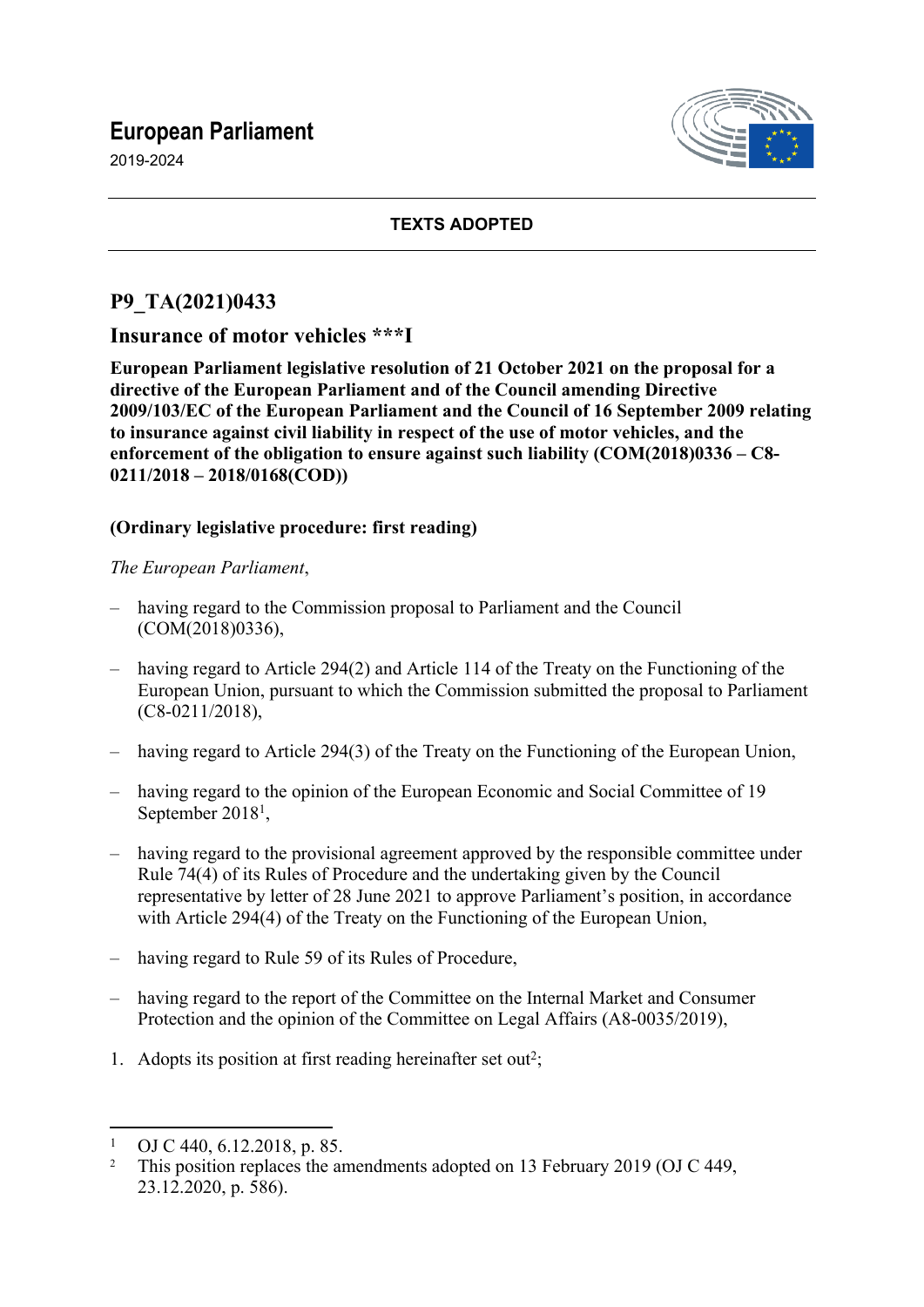## **European Parliament**

2019-2024



### **TEXTS ADOPTED**

### **P9\_TA(2021)0433**

## **Insurance of motor vehicles \*\*\*I**

**European Parliament legislative resolution of 21 October 2021 on the proposal for a directive of the European Parliament and of the Council amending Directive 2009/103/EC of the European Parliament and the Council of 16 September 2009 relating to insurance against civil liability in respect of the use of motor vehicles, and the enforcement of the obligation to ensure against such liability (COM(2018)0336 – C8- 0211/2018 – 2018/0168(COD))**

### **(Ordinary legislative procedure: first reading)**

#### *The European Parliament*,

- having regard to the Commission proposal to Parliament and the Council (COM(2018)0336),
- having regard to Article 294(2) and Article 114 of the Treaty on the Functioning of the European Union, pursuant to which the Commission submitted the proposal to Parliament (C8-0211/2018),
- having regard to Article 294(3) of the Treaty on the Functioning of the European Union,
- having regard to the opinion of the European Economic and Social Committee of 19 September 2018<sup>1</sup>,
- having regard to the provisional agreement approved by the responsible committee under Rule 74(4) of its Rules of Procedure and the undertaking given by the Council representative by letter of 28 June 2021 to approve Parliament's position, in accordance with Article 294(4) of the Treaty on the Functioning of the European Union,
- having regard to Rule 59 of its Rules of Procedure,
- having regard to the report of the Committee on the Internal Market and Consumer Protection and the opinion of the Committee on Legal Affairs (A8-0035/2019),
- 1. Adopts its position at first reading hereinafter set out<sup>2</sup>;

<sup>1</sup>  $\frac{1}{2}$  OJ C 440, 6.12.2018, p. 85.

<sup>2</sup> This position replaces the amendments adopted on 13 February 2019 (OJ C 449, 23.12.2020, p. 586).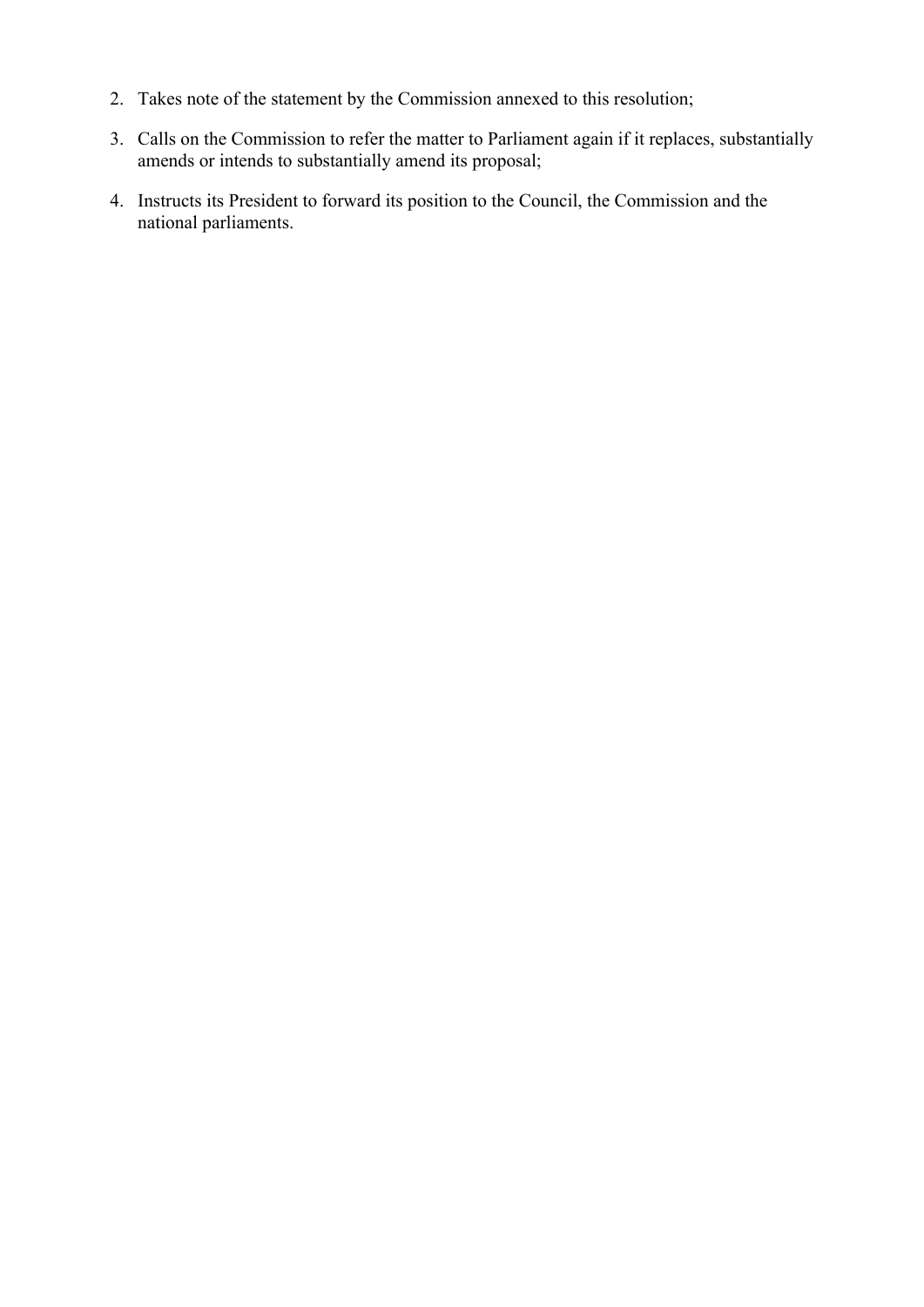- 2. Takes note of the statement by the Commission annexed to this resolution;
- 3. Calls on the Commission to refer the matter to Parliament again if it replaces, substantially amends or intends to substantially amend its proposal;
- 4. Instructs its President to forward its position to the Council, the Commission and the national parliaments.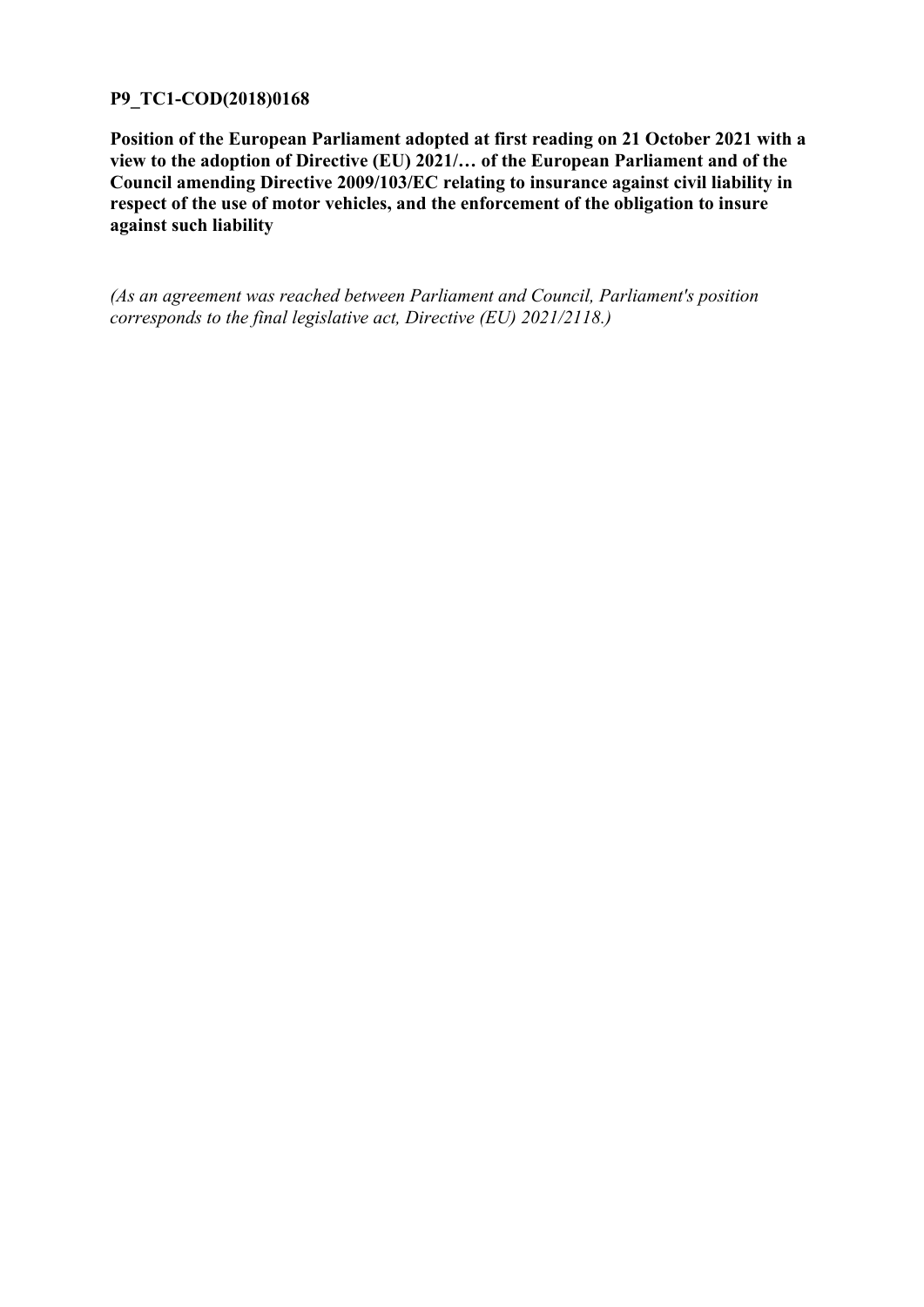#### **P9\_TC1-COD(2018)0168**

**Position of the European Parliament adopted at first reading on 21 October 2021 with a view to the adoption of Directive (EU) 2021/… of the European Parliament and of the Council amending Directive 2009/103/EC relating to insurance against civil liability in respect of the use of motor vehicles, and the enforcement of the obligation to insure against such liability**

*(As an agreement was reached between Parliament and Council, Parliament's position corresponds to the final legislative act, Directive (EU) 2021/2118.)*